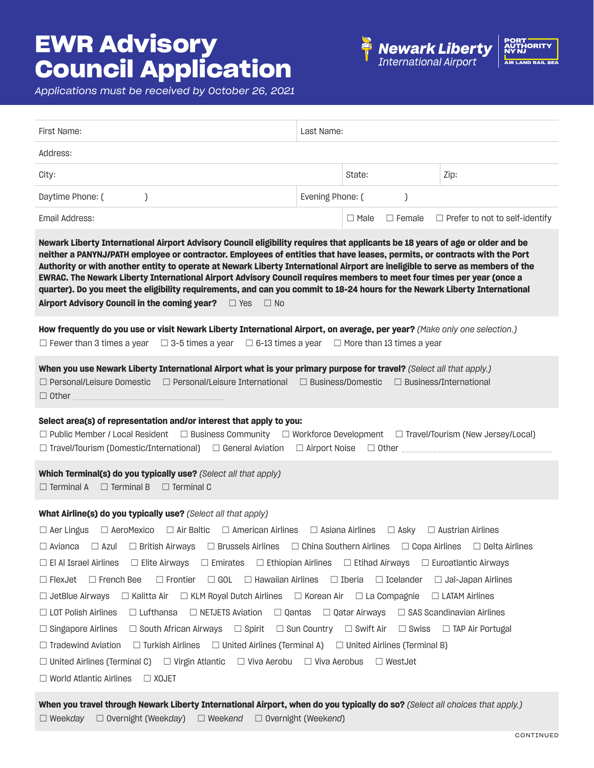## **EWR Advisory Council Application**





*Applications must be received by October 26, 2021*

| First Name:                                                                                                                                                                                                                                                                                                                                                                                                                                                                                                                                                                                                                                                                                                                                                                                                                                                                                                                                                                                                                                                                                                                                                                                                                                                                                                                                                                                                                                                                      | Last Name:            |                                 |                                       |  |
|----------------------------------------------------------------------------------------------------------------------------------------------------------------------------------------------------------------------------------------------------------------------------------------------------------------------------------------------------------------------------------------------------------------------------------------------------------------------------------------------------------------------------------------------------------------------------------------------------------------------------------------------------------------------------------------------------------------------------------------------------------------------------------------------------------------------------------------------------------------------------------------------------------------------------------------------------------------------------------------------------------------------------------------------------------------------------------------------------------------------------------------------------------------------------------------------------------------------------------------------------------------------------------------------------------------------------------------------------------------------------------------------------------------------------------------------------------------------------------|-----------------------|---------------------------------|---------------------------------------|--|
| Address:                                                                                                                                                                                                                                                                                                                                                                                                                                                                                                                                                                                                                                                                                                                                                                                                                                                                                                                                                                                                                                                                                                                                                                                                                                                                                                                                                                                                                                                                         |                       |                                 |                                       |  |
| City:                                                                                                                                                                                                                                                                                                                                                                                                                                                                                                                                                                                                                                                                                                                                                                                                                                                                                                                                                                                                                                                                                                                                                                                                                                                                                                                                                                                                                                                                            |                       | State:                          | Zip:                                  |  |
| Daytime Phone: (                                                                                                                                                                                                                                                                                                                                                                                                                                                                                                                                                                                                                                                                                                                                                                                                                                                                                                                                                                                                                                                                                                                                                                                                                                                                                                                                                                                                                                                                 | Evening Phone: (<br>) |                                 |                                       |  |
| Email Address:                                                                                                                                                                                                                                                                                                                                                                                                                                                                                                                                                                                                                                                                                                                                                                                                                                                                                                                                                                                                                                                                                                                                                                                                                                                                                                                                                                                                                                                                   |                       | $\Box$ Female<br>$\square$ Male | $\Box$ Prefer to not to self-identify |  |
| Newark Liberty International Airport Advisory Council eligibility requires that applicants be 18 years of age or older and be<br>neither a PANYNJ/PATH employee or contractor. Employees of entities that have leases, permits, or contracts with the Port<br>Authority or with another entity to operate at Newark Liberty International Airport are ineligible to serve as members of the<br>EWRAC. The Newark Liberty International Airport Advisory Council requires members to meet four times per year (once a<br>quarter). Do you meet the eligibility requirements, and can you commit to 18-24 hours for the Newark Liberty International<br>Airport Advisory Council in the coming year?<br>D Yes   D No                                                                                                                                                                                                                                                                                                                                                                                                                                                                                                                                                                                                                                                                                                                                                               |                       |                                 |                                       |  |
| How frequently do you use or visit Newark Liberty International Airport, on average, per year? (Make only one selection.)<br>$\Box$ 3-5 times a year<br>$\Box$ 6-13 times a year<br>$\Box$ More than 13 times a year<br>$\Box$ Fewer than 3 times a year                                                                                                                                                                                                                                                                                                                                                                                                                                                                                                                                                                                                                                                                                                                                                                                                                                                                                                                                                                                                                                                                                                                                                                                                                         |                       |                                 |                                       |  |
| When you use Newark Liberty International Airport what is your primary purpose for travel? (Select all that apply.)<br>□ Personal/Leisure Domestic<br>$\Box$ Personal/Leisure International<br>$\Box$ Business/Domestic $\Box$ Business/International<br>$\Box$ Other                                                                                                                                                                                                                                                                                                                                                                                                                                                                                                                                                                                                                                                                                                                                                                                                                                                                                                                                                                                                                                                                                                                                                                                                            |                       |                                 |                                       |  |
| Select area(s) of representation and/or interest that apply to you:<br>$\Box$ Public Member / Local Resident<br>$\Box$ Business Community $\Box$ Workforce Development $\Box$ Travel/Tourism (New Jersey/Local)<br>$\Box$ Travel/Tourism (Domestic/International) $\Box$ General Aviation<br>□ Airport Noise<br>$\Box$ Other                                                                                                                                                                                                                                                                                                                                                                                                                                                                                                                                                                                                                                                                                                                                                                                                                                                                                                                                                                                                                                                                                                                                                     |                       |                                 |                                       |  |
| Which Terminal(s) do you typically use? (Select all that apply)<br>$\Box$ Terminal A $\Box$ Terminal B<br>$\Box$ Terminal C                                                                                                                                                                                                                                                                                                                                                                                                                                                                                                                                                                                                                                                                                                                                                                                                                                                                                                                                                                                                                                                                                                                                                                                                                                                                                                                                                      |                       |                                 |                                       |  |
| What Airline(s) do you typically use? (Select all that apply)<br>$\Box$ Air Baltic<br>$\Box$ American Airlines<br>$\Box$ Asiana Airlines<br>$\Box$ Austrian Airlines<br>$\Box$ Aer Lingus<br>$\Box$ AeroMexico<br>$\Box$ Asky<br>$\Box$ China Southern Airlines<br>$\Box$ Copa Airlines<br>$\Box$ Delta Airlines<br>$\Box$ Avianca<br>$\Box$ British Airways<br>$\Box$ Brussels Airlines<br>$\Box$ Azul<br>$\Box$ El Al Israel Airlines<br>□ Elite Airways<br>$\Box$ Emirates $\Box$ Ethiopian Airlines $\Box$ Etihad Airways $\Box$ Euroatlantic Airways<br>$\Box$ Frontier $\Box$ GOL $\Box$ Hawaiian Airlines $\Box$ Iberia $\Box$ Icelander<br>$\Box$ FlexJet $\Box$ French Bee<br>$\Box$ Jal-Japan Airlines<br>$\Box$ Kalitta Air $\Box$ KLM Royal Dutch Airlines $\Box$ Korean Air $\Box$ La Compagnie $\Box$ LATAM Airlines<br>$\Box$ JetBlue Airways<br>$\Box$ LOT Polish Airlines<br>$\Box$ Lufthansa<br>$\Box$ NETJETS Aviation<br>$\Box$ Qantas $\Box$ Qatar Airways<br>$\Box$ SAS Scandinavian Airlines<br>$\Box$ South African Airways $\Box$ Spirit $\Box$ Sun Country $\Box$ Swift Air $\Box$ Swiss $\Box$ TAP Air Portugal<br>$\Box$ Singapore Airlines<br>$\Box$ Tradewind Aviation<br>$\Box$ Turkish Airlines $\Box$ United Airlines (Terminal A) $\Box$ United Airlines (Terminal B)<br>$\Box$ United Airlines (Terminal C) $\Box$ Virgin Atlantic $\Box$ Viva Aerobu $\Box$ Viva Aerobus<br>$\Box$ WestJet<br>$\Box$ World Atlantic Airlines<br>$\Box$ XOJET |                       |                                 |                                       |  |

**When you travel through Newark Liberty International Airport, when do you typically do so?** *(Select all choices that apply.)* ☐ Week*day* ☐ Overnight (Week*day*) ☐ Week*end* ☐ Overnight (Week*end*)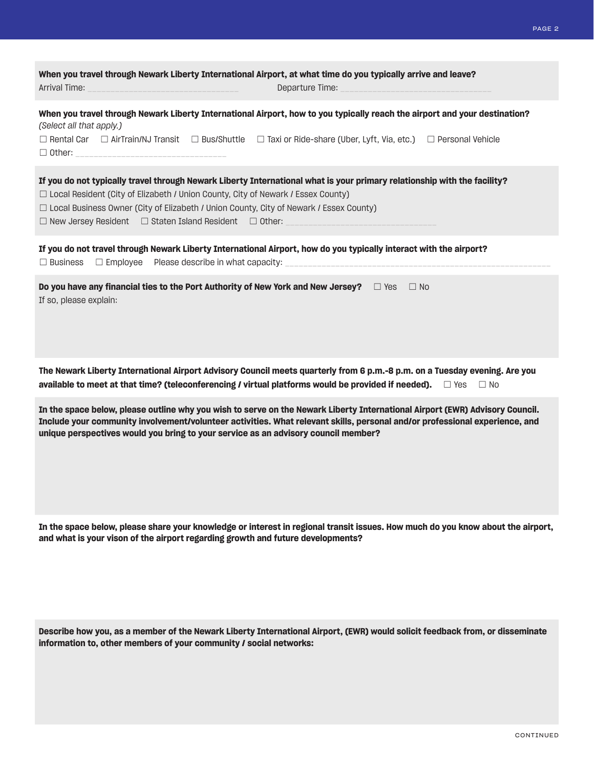| When you travel through Newark Liberty International Airport, at what time do you typically arrive and leave?<br>Arrival Time:<br>Departure Time:                                                                                                                                                                                                                                              |  |  |
|------------------------------------------------------------------------------------------------------------------------------------------------------------------------------------------------------------------------------------------------------------------------------------------------------------------------------------------------------------------------------------------------|--|--|
| When you travel through Newark Liberty International Airport, how to you typically reach the airport and your destination?<br>(Select all that apply.)<br>$\Box$ Rental Car $\Box$ AirTrain/NJ Transit $\Box$ Bus/Shuttle $\Box$ Taxi or Ride-share (Uber, Lyft, Via, etc.) $\Box$ Personal Vehicle                                                                                            |  |  |
| If you do not typically travel through Newark Liberty International what is your primary relationship with the facility?<br>$\Box$ Local Resident (City of Elizabeth / Union County, City of Newark / Essex County)<br>$\Box$ Local Business Owner (City of Elizabeth / Union County, City of Newark / Essex County)<br>$\Box$ New Jersey Resident $\Box$ Staten Island Resident $\Box$ Other: |  |  |
| If you do not travel through Newark Liberty International Airport, how do you typically interact with the airport?<br>$\Box$ Business                                                                                                                                                                                                                                                          |  |  |
| Do you have any financial ties to the Port Authority of New York and New Jersey? $\square$ Yes $\square$ No<br>If so, please explain:                                                                                                                                                                                                                                                          |  |  |

**The Newark Liberty International Airport Advisory Council meets quarterly from 6 p.m.-8 p.m. on a Tuesday evening. Are you available to meet at that time? (teleconferencing / virtual platforms would be provided if needed).** □ Yes □ No

**In the space below, please outline why you wish to serve on the Newark Liberty International Airport (EWR) Advisory Council. Include your community involvement/volunteer activities. What relevant skills, personal and/or professional experience, and unique perspectives would you bring to your service as an advisory council member?**

**In the space below, please share your knowledge or interest in regional transit issues. How much do you know about the airport, and what is your vison of the airport regarding growth and future developments?**

**Describe how you, as a member of the Newark Liberty International Airport, (EWR) would solicit feedback from, or disseminate information to, other members of your community / social networks:**